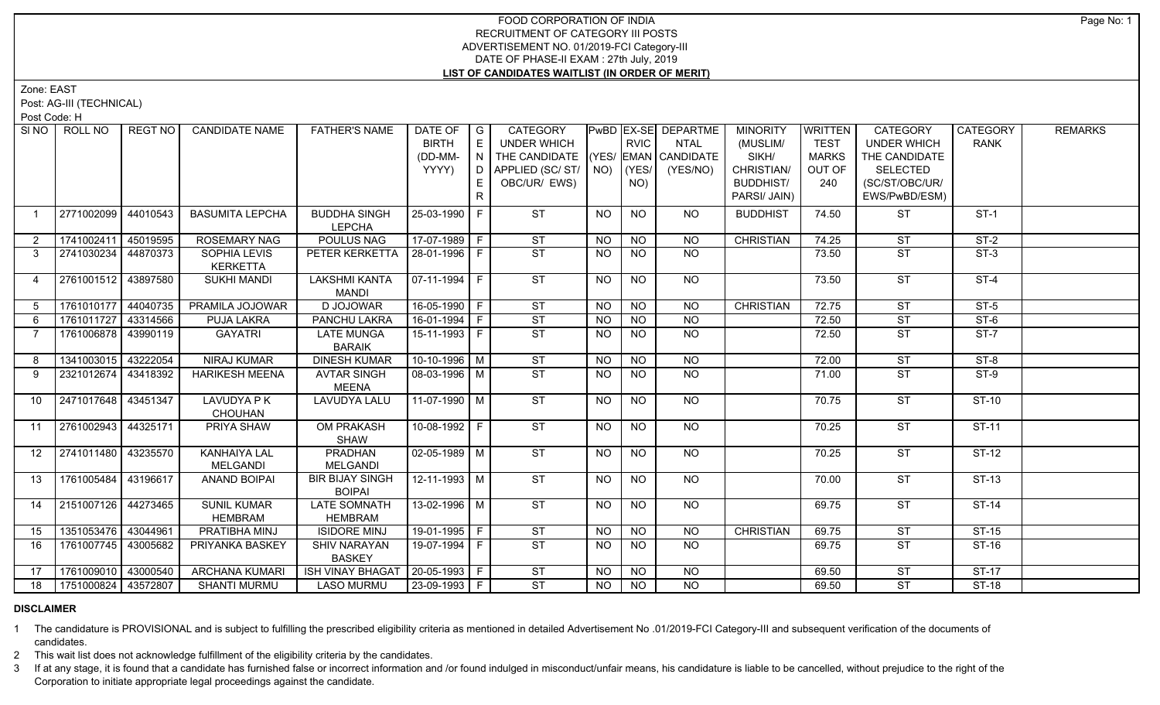## FOOD CORPORATION OF INDIA RECRUITMENT OF CATEGORY III POSTS ADVERTISEMENT NO. 01/2019-FCI Category-III DATE OF PHASE-II EXAM : 27th July, 2019 **LIST OF CANDIDATES WAITLIST (IN ORDER OF MERIT)**

Zone: EAST

Post: AG-III (TECHNICAL)

Post Code: H

| SI NO I        | ROLL NO               | REGT NO  | <b>CANDIDATE NAME</b>               | <b>FATHER'S NAME</b>                 | DATE OF $ G $<br><b>BIRTH</b><br>(DD-MM- | E<br>I N | <b>CATEGORY</b><br><b>UNDER WHICH</b><br>THE CANDIDATE (YES/ EMAN CANDIDATE |                | <b>RVIC</b>     | PwBD EX-SE DEPARTME<br><b>NTAL</b> | <b>MINORITY</b><br>(MUSLIM/<br>SIKH/ | WRITTEN<br><b>TEST</b><br><b>MARKS</b> | CATEGORY<br><b>UNDER WHICH</b><br>THE CANDIDATE | <b>CATEGORY</b><br><b>RANK</b> | <b>REMARKS</b> |
|----------------|-----------------------|----------|-------------------------------------|--------------------------------------|------------------------------------------|----------|-----------------------------------------------------------------------------|----------------|-----------------|------------------------------------|--------------------------------------|----------------------------------------|-------------------------------------------------|--------------------------------|----------------|
|                |                       |          |                                     |                                      | YYYY)                                    | D.       | APPLIED (SC/ST/ NO)                                                         |                | $ $ (YES/ $ $   | (YES/NO)                           | CHRISTIAN/                           | OUT OF                                 | <b>SELECTED</b>                                 |                                |                |
|                |                       |          |                                     |                                      |                                          | E        | OBC/UR/ EWS)                                                                |                | NO)             |                                    | <b>BUDDHIST/</b>                     | 240                                    | (SC/ST/OBC/UR/                                  |                                |                |
|                |                       |          |                                     |                                      |                                          | R.       |                                                                             |                |                 |                                    | PARSI/ JAIN)                         |                                        | EWS/PwBD/ESM)                                   |                                |                |
|                |                       |          |                                     |                                      |                                          |          | <b>ST</b>                                                                   |                | <b>NO</b>       |                                    |                                      |                                        |                                                 |                                |                |
|                | 2771002099            | 44010543 | <b>BASUMITA LEPCHA</b>              | <b>BUDDHA SINGH</b><br><b>LEPCHA</b> | 25-03-1990 F                             |          |                                                                             | <b>NO</b>      |                 | NO                                 | <b>BUDDHIST</b>                      | 74.50                                  | <b>ST</b>                                       | $ST-1$                         |                |
| $\overline{2}$ | 1741002411            | 45019595 | <b>ROSEMARY NAG</b>                 | <b>POULUS NAG</b>                    | 17-07-1989 F                             |          | ST                                                                          | <b>NO</b>      | <b>NO</b>       | <b>NO</b>                          | <b>CHRISTIAN</b>                     | 74.25                                  | <b>ST</b>                                       | $ST-2$                         |                |
| $3^{\circ}$    | 2741030234 44870373   |          | SOPHIA LEVIS<br><b>KERKETTA</b>     | PETER KERKETTA                       | 28-01-1996 F                             |          | ST                                                                          | <b>NO</b>      | <b>NO</b>       | NO                                 |                                      | 73.50                                  | <b>ST</b>                                       | $ST-3$                         |                |
| $\overline{4}$ | 2761001512 43897580   |          | <b>SUKHI MANDI</b>                  | <b>LAKSHMI KANTA</b>                 | $\vert 07 - 11 - 1994 \vert$ F           |          | ST                                                                          | N <sub>O</sub> | $\overline{NO}$ | $\overline{NO}$                    |                                      | 73.50                                  | ST                                              | $ST-4$                         |                |
|                |                       |          |                                     | <b>MANDI</b>                         |                                          |          |                                                                             |                |                 |                                    |                                      |                                        |                                                 |                                |                |
| 5              | 1761010177 44040735   |          | PRAMILA JOJOWAR                     | D JOJOWAR                            | 16-05-1990 F                             |          | ST                                                                          | <b>NO</b>      | N <sub>O</sub>  | <b>NO</b>                          | <b>CHRISTIAN</b>                     | 72.75                                  | <b>ST</b>                                       | $ST-5$                         |                |
| 6              | 1761011727 43314566   |          | PUJA LAKRA                          | PANCHU LAKRA                         | $16-01-1994$ F                           |          | ST                                                                          | <b>NO</b>      | <b>NO</b>       | $\overline{NO}$                    |                                      | 72.50                                  | <b>ST</b>                                       | $ST-6$                         |                |
| $\overline{7}$ | 1761006878 43990119   |          | <b>GAYATRI</b>                      | <b>LATE MUNGA</b>                    | $15-11-1993$ F                           |          | $\overline{\text{ST}}$                                                      | <b>NO</b>      | N <sub>O</sub>  | N <sub>O</sub>                     |                                      | 72.50                                  | $\overline{\text{ST}}$                          | $ST-7$                         |                |
|                |                       |          |                                     | <b>BARAIK</b>                        |                                          |          |                                                                             |                |                 |                                    |                                      |                                        |                                                 |                                |                |
| 8              | 1341003015            | 43222054 | <b>NIRAJ KUMAR</b>                  | <b>DINESH KUMAR</b>                  | $10-10-1996$ M                           |          | ST                                                                          | <b>NO</b>      | $N$ O           | $N$ <sup>O</sup>                   |                                      | 72.00                                  | <b>ST</b>                                       | $ST-8$                         |                |
| 9              | 2321012674 43418392   |          | <b>HARIKESH MEENA</b>               | <b>AVTAR SINGH</b>                   | 08-03-1996 M                             |          | ST                                                                          | <b>NO</b>      | <b>NO</b>       | $N$ <sup>O</sup>                   |                                      | 71.00                                  | $\overline{\text{ST}}$                          | $ST-9$                         |                |
|                |                       |          |                                     | <b>MEENA</b>                         |                                          |          |                                                                             |                |                 |                                    |                                      |                                        |                                                 |                                |                |
| 10             | 2471017648   43451347 |          | <b>LAVUDYA PK</b><br><b>CHOUHAN</b> | LAVUDYA LALU                         | $11-07-1990$ M                           |          | ST                                                                          | <b>NO</b>      | <b>NO</b>       | NO                                 |                                      | 70.75                                  | <b>ST</b>                                       | $ST-10$                        |                |
| 11             | 2761002943            | 44325171 | PRIYA SHAW                          | <b>OM PRAKASH</b><br><b>SHAW</b>     | 10-08-1992 F                             |          | <b>ST</b>                                                                   | <b>NO</b>      | <b>NO</b>       | <b>NO</b>                          |                                      | 70.25                                  | <b>ST</b>                                       | <b>ST-11</b>                   |                |
| 12             | 2741011480 43235570   |          | <b>KANHAIYA LAL</b><br>MELGANDI     | <b>PRADHAN</b><br><b>MELGANDI</b>    | $\sqrt{02-05-1989}$ M                    |          | ST                                                                          | <b>NO</b>      | <b>NO</b>       | NO                                 |                                      | 70.25                                  | ST                                              | $ST-12$                        |                |
| 13             | 1761005484            | 43196617 | <b>ANAND BOIPAI</b>                 | <b>BIR BIJAY SINGH</b>               | $12 - 11 - 1993$ M                       |          | ST                                                                          | <b>NO</b>      | <b>NO</b>       | NO                                 |                                      | 70.00                                  | <b>ST</b>                                       | $ST-13$                        |                |
|                |                       |          |                                     | <b>BOIPAI</b>                        |                                          |          |                                                                             |                |                 |                                    |                                      |                                        |                                                 |                                |                |
| 14             | 2151007126 44273465   |          | <b>SUNIL KUMAR</b>                  | <b>LATE SOMNATH</b>                  | $13-02-1996$ M                           |          | ST                                                                          | <b>NO</b>      | <b>NO</b>       | $N$ O                              |                                      | 69.75                                  | <b>ST</b>                                       | $ST-14$                        |                |
|                |                       |          | <b>HEMBRAM</b>                      | <b>HEMBRAM</b>                       |                                          |          |                                                                             |                |                 |                                    |                                      |                                        |                                                 |                                |                |
| 15             | 1351053476 43044961   |          | PRATIBHA MINJ                       | <b>ISIDORE MINJ</b>                  | 19-01-1995 F                             |          | ST                                                                          | <b>NO</b>      | <b>NO</b>       | <b>NO</b>                          | <b>CHRISTIAN</b>                     | 69.75                                  | <b>ST</b>                                       | ST-15                          |                |
| 16             | 1761007745            | 43005682 | PRIYANKA BASKEY                     | <b>SHIV NARAYAN</b><br><b>BASKEY</b> | 19-07-1994 F                             |          | $\overline{\text{ST}}$                                                      | <b>NO</b>      | NO              | $N$ <sup>O</sup>                   |                                      | 69.75                                  | ST                                              | <b>ST-16</b>                   |                |
| 17             | 1761009010 43000540   |          | <b>ARCHANA KUMARI</b>               | <b>ISH VINAY BHAGAT</b>              | $20-05-1993$ F                           |          | <b>ST</b>                                                                   | <b>NO</b>      | <b>NO</b>       | <b>NO</b>                          |                                      | 69.50                                  | <b>ST</b>                                       | <b>ST-17</b>                   |                |
| 18             | 1751000824 43572807   |          | <b>SHANTI MURMU</b>                 | <b>LASO MURMU</b>                    | $23-09-1993$ F                           |          | ST                                                                          | <b>NO</b>      | <b>NO</b>       | <b>NO</b>                          |                                      | 69.50                                  | <b>ST</b>                                       | $ST-18$                        |                |

# **DISCLAIMER**

1 The candidature is PROVISIONAL and is subject to fulfilling the prescribed eligibility criteria as mentioned in detailed Advertisement No .01/2019-FCI Category-III and subsequent verification of the documents of candidates.

2 This wait list does not acknowledge fulfillment of the eligibility criteria by the candidates.

3 If at any stage, it is found that a candidate has furnished false or incorrect information and /or found indulged in misconduct/unfair means, his candidature is liable to be cancelled, without prejudice to the right of t Corporation to initiate appropriate legal proceedings against the candidate.

Page No: 1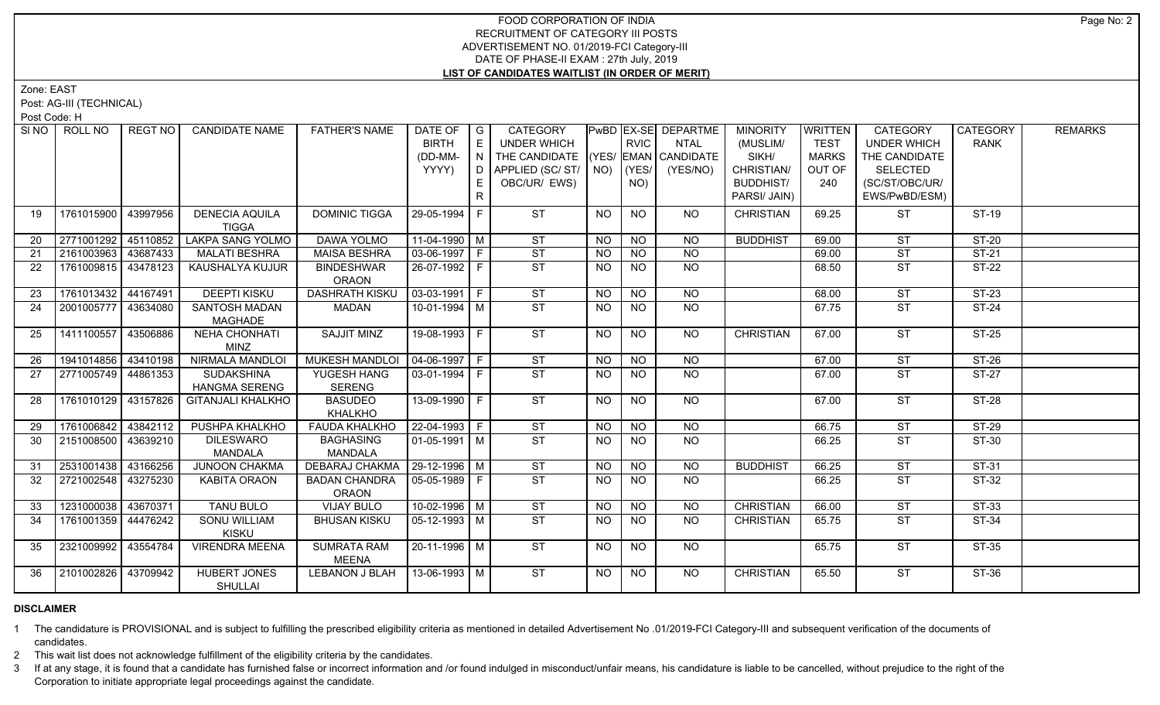## FOOD CORPORATION OF INDIA RECRUITMENT OF CATEGORY III POSTS ADVERTISEMENT NO. 01/2019-FCI Category-III DATE OF PHASE-II EXAM : 27th July, 2019 **LIST OF CANDIDATES WAITLIST (IN ORDER OF MERIT)**

Zone: EAST

Post: AG-III (TECHNICAL)

Post Code: H

| SINO | ROLL NO               | <b>REGT NO</b> | <b>CANDIDATE NAME</b>                     | <b>FATHER'S NAME</b>                 | DATE OF   G<br><b>BIRTH</b><br>(DD-MM-<br>YYYY) | E<br>N<br>D I | <b>CATEGORY</b><br><b>UNDER WHICH</b><br>THE CANDIDATE (YES/ EMAN CANDIDATE<br>APPLIED (SC/ST/ NO) |                | <b>RVIC</b><br>(YES/ | PwBD EX-SE DEPARTME<br><b>NTAL</b><br>(YES/NO) | <b>MINORITY</b><br>(MUSLIM/<br>SIKH/<br>CHRISTIAN/ | WRITTEN<br><b>TEST</b><br><b>MARKS</b><br>OUT OF | CATEGORY<br><b>UNDER WHICH</b><br>THE CANDIDATE<br><b>SELECTED</b> | CATEGORY<br><b>RANK</b> | <b>REMARKS</b> |
|------|-----------------------|----------------|-------------------------------------------|--------------------------------------|-------------------------------------------------|---------------|----------------------------------------------------------------------------------------------------|----------------|----------------------|------------------------------------------------|----------------------------------------------------|--------------------------------------------------|--------------------------------------------------------------------|-------------------------|----------------|
|      |                       |                |                                           |                                      |                                                 | R             | OBC/UR/ EWS)                                                                                       |                | NO)                  |                                                | <b>BUDDHIST/</b><br>PARSI/ JAIN)                   | 240                                              | (SC/ST/OBC/UR/<br>EWS/PwBD/ESM)                                    |                         |                |
| 19   | 1761015900   43997956 |                | <b>DENECIA AQUILA</b><br><b>TIGGA</b>     | <b>DOMINIC TIGGA</b>                 | 29-05-1994 F                                    |               | <b>ST</b>                                                                                          | NO             | <b>NO</b>            | NO                                             | <b>CHRISTIAN</b>                                   | 69.25                                            | <b>ST</b>                                                          | ST-19                   |                |
| 20   | 2771001292 45110852   |                | <b>LAKPA SANG YOLMO</b>                   | <b>DAWA YOLMO</b>                    | $11-04-1990$ M                                  |               | <b>ST</b>                                                                                          | NO.            | NO                   | <b>NO</b>                                      | <b>BUDDHIST</b>                                    | 69.00                                            | <b>ST</b>                                                          | ST-20                   |                |
| 21   | 2161003963 43687433   |                | <b>MALATI BESHRA</b>                      | <b>MAISA BESHRA</b>                  | $\sqrt{03-06-1997}$ F                           |               | ST                                                                                                 | <b>NO</b>      | <b>NO</b>            | <b>NO</b>                                      |                                                    | 69.00                                            | ST                                                                 | $ST-21$                 |                |
| 22   | 1761009815 43478123   |                | KAUSHALYA KUJUR                           | <b>BINDESHWAR</b><br><b>ORAON</b>    | 26-07-1992 F                                    |               | <b>ST</b>                                                                                          | <b>NO</b>      | <b>NO</b>            | <b>NO</b>                                      |                                                    | 68.50                                            | <b>ST</b>                                                          | <b>ST-22</b>            |                |
| 23   | 1761013432 44167491   |                | <b>DEEPTI KISKU</b>                       | <b>DASHRATH KISKU</b>                | $\vert 03 - 03 - 1991 \vert F$                  |               | ST                                                                                                 | <b>NO</b>      | N <sub>O</sub>       | $\overline{NO}$                                |                                                    | 68.00                                            | ST                                                                 | $ST-23$                 |                |
| 24   | 2001005777 43634080   |                | SANTOSH MADAN<br><b>MAGHADE</b>           | MADAN                                | 10-01-1994 M                                    |               | ST                                                                                                 | <b>NO</b>      | NO                   | NO                                             |                                                    | 67.75                                            | ST                                                                 | ST-24                   |                |
| 25   | 1411100557 43506886   |                | <b>NEHA CHONHATI</b><br><b>MINZ</b>       | <b>SAJJIT MINZ</b>                   | $19-08-1993$ F                                  |               | ST                                                                                                 | <b>NO</b>      | $\overline{NO}$      | $\overline{NO}$                                | <b>CHRISTIAN</b>                                   | 67.00                                            | $\overline{\text{ST}}$                                             | $ST-25$                 |                |
| 26   | 1941014856 43410198   |                | <b>NIRMALA MANDLOI</b>                    | MUKESH MANDLOI   04-06-1997   F      |                                                 |               | ST                                                                                                 | <b>NO</b>      | <b>NO</b>            | NO                                             |                                                    | 67.00                                            | <b>ST</b>                                                          | $ST-26$                 |                |
| 27   | 2771005749 44861353   |                | <b>SUDAKSHINA</b><br><b>HANGMA SERENG</b> | YUGESH HANG<br><b>SERENG</b>         | $\boxed{03-01-1994}$ F                          |               | ST                                                                                                 | NO.            | <b>NO</b>            | NO                                             |                                                    | 67.00                                            | <b>ST</b>                                                          | $ST-27$                 |                |
| 28   | 1761010129 43157826   |                | <b>GITANJALI KHALKHO</b>                  | <b>BASUDEO</b><br><b>KHALKHO</b>     | 13-09-1990 F                                    |               | ST                                                                                                 | NO.            | NO.                  | NO.                                            |                                                    | 67.00                                            | <b>ST</b>                                                          | <b>ST-28</b>            |                |
| 29   | 1761006842 43842112   |                | PUSHPA KHALKHO                            | <b>FAUDA KHALKHO</b>                 | 22-04-1993 F                                    |               | <b>ST</b>                                                                                          | <b>NO</b>      | <b>NO</b>            | <b>NO</b>                                      |                                                    | 66.75                                            | <b>ST</b>                                                          | <b>ST-29</b>            |                |
| 30   | 2151008500 43639210   |                | <b>DILESWARO</b><br>MANDALA               | <b>BAGHASING</b><br><b>MANDALA</b>   | 01-05-1991 M                                    |               | ST                                                                                                 | NO.            | NO.                  | NO                                             |                                                    | 66.25                                            | <b>ST</b>                                                          | ST-30                   |                |
| 31   | 2531001438 43166256   |                | <b>JUNOON CHAKMA</b>                      | <b>DEBARAJ CHAKMA</b>                | $ 29-12-1996 $ M                                |               | ST                                                                                                 | N <sub>O</sub> | $\overline{NO}$      | N <sub>O</sub>                                 | <b>BUDDHIST</b>                                    | 66.25                                            | ST                                                                 | $ST-31$                 |                |
| 32   | 2721002548 43275230   |                | <b>KABITA ORAON</b>                       | <b>BADAN CHANDRA</b><br><b>ORAON</b> | 05-05-1989   F                                  |               | ST                                                                                                 | NO.            | <b>NO</b>            | NO                                             |                                                    | 66.25                                            | <b>ST</b>                                                          | $ST-32$                 |                |
| 33   | 1231000038 43670371   |                | <b>TANU BULO</b>                          | <b>VIJAY BULO</b>                    | $10-02-1996$ M                                  |               | ST                                                                                                 | <b>NO</b>      | <b>NO</b>            | <b>NO</b>                                      | <b>CHRISTIAN</b>                                   | 66.00                                            | <b>ST</b>                                                          | $ST-33$                 |                |
| 34   | 1761001359 44476242   |                | <b>SONU WILLIAM</b><br><b>KISKU</b>       | <b>BHUSAN KISKU</b>                  | 05-12-1993   M                                  |               | ST                                                                                                 | NO.            | NO                   | <b>NO</b>                                      | <b>CHRISTIAN</b>                                   | 65.75                                            | $\overline{\text{ST}}$                                             | ST-34                   |                |
| 35   | 2321009992            | 43554784       | <b>VIRENDRA MEENA</b>                     | <b>SUMRATA RAM</b><br><b>MEENA</b>   | 20-11-1996 M                                    |               | ST                                                                                                 | <b>NO</b>      | <b>NO</b>            | NO                                             |                                                    | 65.75                                            | <b>ST</b>                                                          | ST-35                   |                |
| 36   | 2101002826 43709942   |                | <b>HUBERT JONES</b><br><b>SHULLAI</b>     | <b>LEBANON J BLAH</b>                | $13 - 06 - 1993$ M                              |               | ST                                                                                                 | NO             | <b>NO</b>            | <b>NO</b>                                      | <b>CHRISTIAN</b>                                   | 65.50                                            | <b>ST</b>                                                          | ST-36                   |                |

### **DISCLAIMER**

1 The candidature is PROVISIONAL and is subject to fulfilling the prescribed eligibility criteria as mentioned in detailed Advertisement No .01/2019-FCI Category-III and subsequent verification of the documents of candidates.

2 This wait list does not acknowledge fulfillment of the eligibility criteria by the candidates.

3 If at any stage, it is found that a candidate has furnished false or incorrect information and /or found indulged in misconduct/unfair means, his candidature is liable to be cancelled, without prejudice to the right of t Corporation to initiate appropriate legal proceedings against the candidate.

Page No: 2